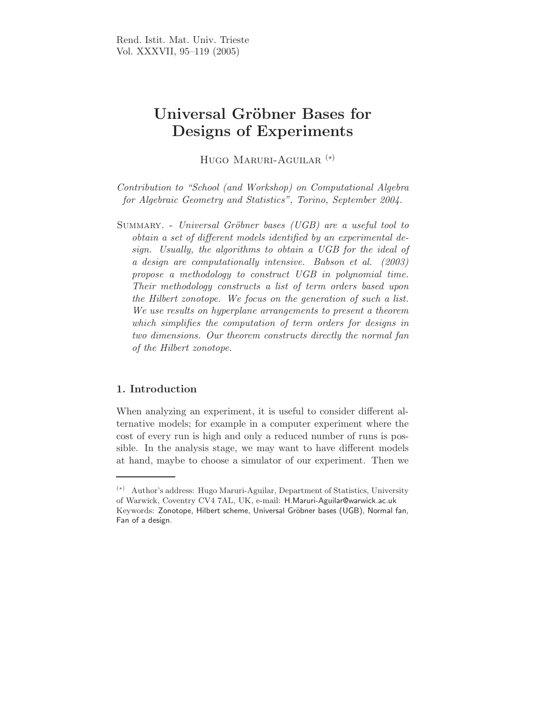# Universal Gröbner Bases for Designs of Experiments

Hugo Maruri-Aguilar (∗)

Contribution to "School (and Workshop) on Computational Algebra for Algebraic Geometry and Statistics", Torino, September 2004.

SUMMARY. - Universal Gröbner bases (UGB) are a useful tool to obtain a set of different models identified by an experimental design. Usually, the algorithms to obtain a UGB for the ideal of a design are computationally intensive. Babson et al. (2003) propose a methodology to construct UGB in polynomial time. Their methodology constructs a list of term orders based upon the Hilbert zonotope. We focus on the generation of such a list. We use results on hyperplane arrangements to present a theorem which simplifies the computation of term orders for designs in two dimensions. Our theorem constructs directly the normal fan of the Hilbert zonotope.

# 1. Introduction

When analyzing an experiment, it is useful to consider different alternative models; for example in a computer experiment where the cost of every run is high and only a reduced number of runs is possible. In the analysis stage, we may want to have different models at hand, maybe to choose a simulator of our experiment. Then we

<sup>(</sup>∗) Author's address: Hugo Maruri-Aguilar, Department of Statistics, University of Warwick, Coventry CV4 7AL, UK, e-mail: H.Maruri-Aguilar@warwick.ac.uk Keywords: Zonotope, Hilbert scheme, Universal Gröbner bases (UGB), Normal fan, Fan of a design.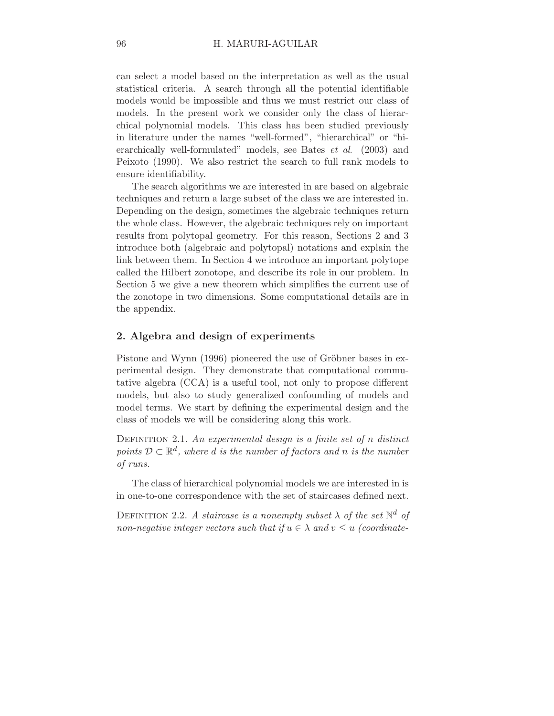can select a model based on the interpretation as well as the usual statistical criteria. A search through all the potential identifiable models would be impossible and thus we must restrict our class of models. In the present work we consider only the class of hierarchical polynomial models. This class has been studied previously in literature under the names "well-formed", "hierarchical" or "hierarchically well-formulated" models, see Bates et al. (2003) and Peixoto (1990). We also restrict the search to full rank models to ensure identifiability.

The search algorithms we are interested in are based on algebraic techniques and return a large subset of the class we are interested in. Depending on the design, sometimes the algebraic techniques return the whole class. However, the algebraic techniques rely on important results from polytopal geometry. For this reason, Sections 2 and 3 introduce both (algebraic and polytopal) notations and explain the link between them. In Section 4 we introduce an important polytope called the Hilbert zonotope, and describe its role in our problem. In Section 5 we give a new theorem which simplifies the current use of the zonotope in two dimensions. Some computational details are in the appendix.

## 2. Algebra and design of experiments

Pistone and Wynn (1996) pioneered the use of Gröbner bases in experimental design. They demonstrate that computational commutative algebra (CCA) is a useful tool, not only to propose different models, but also to study generalized confounding of models and model terms. We start by defining the experimental design and the class of models we will be considering along this work.

DEFINITION 2.1. An experimental design is a finite set of n distinct points  $D \subset \mathbb{R}^d$ , where d is the number of factors and n is the number of runs.

The class of hierarchical polynomial models we are interested in is in one-to-one correspondence with the set of staircases defined next.

DEFINITION 2.2. A staircase is a nonempty subset  $\lambda$  of the set  $\mathbb{N}^d$  of non-negative integer vectors such that if  $u \in \lambda$  and  $v \leq u$  (coordinate-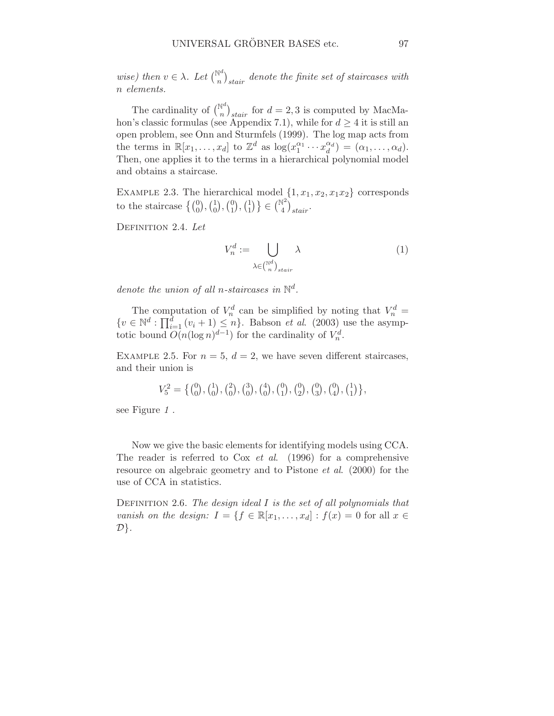wise) then  $v \in \lambda$ . Let  $\binom{\mathbb{N}^d}{n}$  $\int_{\text{N}}^{\text{N}} \text{d}x$  denote the finite set of staircases with n elements.

The cardinality of  $\binom{\mathbb{N}^d}{n}_{stair}$  for  $d=2,3$  is computed by MacMahon's classic formulas (see Appendix 7.1), while for  $d \geq 4$  it is still an open problem, see Onn and Sturmfels (1999). The log map acts from the terms in  $\mathbb{R}[x_1,\ldots,x_d]$  to  $\mathbb{Z}^d$  as  $\log(x_1^{\alpha_1}\cdots x_d^{\alpha_d})$  $\begin{pmatrix} \alpha_d \\ d \end{pmatrix} = (\alpha_1, \ldots, \alpha_d).$ Then, one applies it to the terms in a hierarchical polynomial model and obtains a staircase.

EXAMPLE 2.3. The hierarchical model  $\{1, x_1, x_2, x_1x_2\}$  corresponds to the staircase  $\left\{ \binom{0}{0}, \binom{1}{0} \right\}$  $\binom{1}{0}$ ,  $\binom{0}{1}$  $\binom{0}{1}, \binom{1}{1}$  $\begin{pmatrix} 1 \\ 1 \end{pmatrix}$  }  $\in \begin{pmatrix} \mathbb{N}^2 \\ 4 \end{pmatrix}$  $\binom{4^2}{4}$ <sub>stair</sub>.

DEFINITION 2.4. Let

$$
V_n^d := \bigcup_{\lambda \in \binom{\mathbb{N}^d}{n}_{\text{stair}}} \lambda \tag{1}
$$

denote the union of all n-staircases in  $\mathbb{N}^d$ .

The computation of  $V_n^d$  can be simplified by noting that  $V_n^d$  =  $\{v \in \mathbb{N}^d : \prod_{i=1}^d (v_i + 1) \leq n\}$ . Babson *et al.* (2003) use the asymptotic bound  $O(n(\log n)^{d-1})$  for the cardinality of  $V_n^d$ .

EXAMPLE 2.5. For  $n = 5$ ,  $d = 2$ , we have seven different staircases, and their union is

$$
V_5^2 = \left\{ \begin{pmatrix} 0 \\ 0 \end{pmatrix}, \begin{pmatrix} 1 \\ 0 \end{pmatrix}, \begin{pmatrix} 2 \\ 0 \end{pmatrix}, \begin{pmatrix} 3 \\ 0 \end{pmatrix}, \begin{pmatrix} 4 \\ 0 \end{pmatrix}, \begin{pmatrix} 0 \\ 1 \end{pmatrix}, \begin{pmatrix} 0 \\ 3 \end{pmatrix}, \begin{pmatrix} 0 \\ 4 \end{pmatrix}, \begin{pmatrix} 1 \\ 1 \end{pmatrix} \right\},
$$

see Figure 1.

Now we give the basic elements for identifying models using CCA. The reader is referred to Cox *et al.* (1996) for a comprehensive resource on algebraic geometry and to Pistone et al. (2000) for the use of CCA in statistics.

DEFINITION 2.6. The design ideal  $I$  is the set of all polynomials that vanish on the design:  $I = \{f \in \mathbb{R}[x_1,\ldots,x_d] : f(x) = 0 \text{ for all } x \in$  $\mathcal{D}\}.$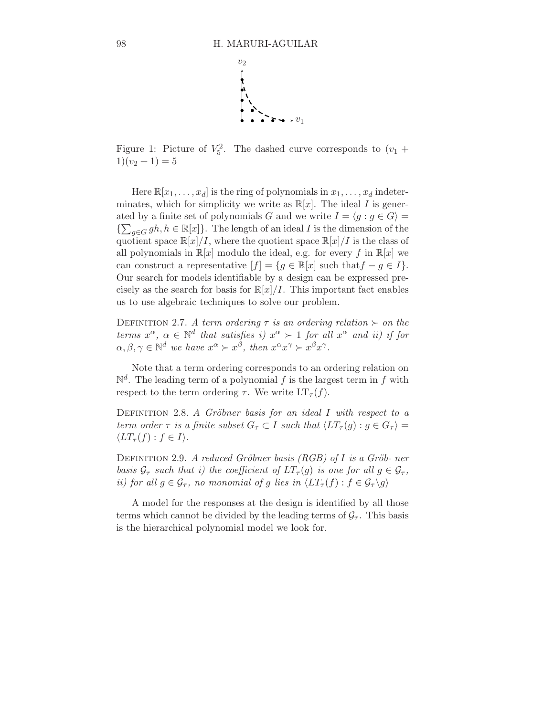

Figure 1: Picture of  $V_5^2$ . The dashed curve corresponds to  $(v_1 +$  $1)(v_2 + 1) = 5$ 

Here  $\mathbb{R}[x_1,\ldots,x_d]$  is the ring of polynomials in  $x_1,\ldots,x_d$  indeterminates, which for simplicity we write as  $\mathbb{R}[x]$ . The ideal I is generated by a finite set of polynomials G and we write  $I = \langle g : g \in G \rangle =$  $\{\sum_{g \in G} gh, h \in \mathbb{R}[x]\}.$  The length of an ideal I is the dimension of the quotient space  $\mathbb{R}[x]/I$ , where the quotient space  $\mathbb{R}[x]/I$  is the class of all polynomials in  $\mathbb{R}[x]$  modulo the ideal, e.g. for every f in  $\mathbb{R}[x]$  we can construct a representative  $[f] = \{g \in \mathbb{R}[x] \text{ such that } f - g \in I\}.$ Our search for models identifiable by a design can be expressed precisely as the search for basis for  $\mathbb{R}[x]/I$ . This important fact enables us to use algebraic techniques to solve our problem.

DEFINITION 2.7. A term ordering  $\tau$  is an ordering relation  $\succ$  on the terms  $x^{\alpha}$ ,  $\alpha \in \mathbb{N}^d$  that satisfies i)  $x^{\alpha} \succ 1$  for all  $x^{\alpha}$  and ii) if for  $\alpha, \beta, \gamma \in \mathbb{N}^d$  we have  $x^{\alpha} \succ x^{\beta}$ , then  $x^{\alpha} x^{\gamma} \succ x^{\beta} x^{\gamma}$ .

Note that a term ordering corresponds to an ordering relation on  $\mathbb{N}^d$ . The leading term of a polynomial f is the largest term in f with respect to the term ordering  $\tau$ . We write  $LT_{\tau}(f)$ .

DEFINITION 2.8. A Gröbner basis for an ideal I with respect to a term order  $\tau$  is a finite subset  $G_{\tau} \subset I$  such that  $\langle LT_{\tau}(g) : g \in G_{\tau} \rangle =$  $\langle LT_{\tau}(f) : f \in I \rangle$ .

DEFINITION 2.9. A reduced Gröbner basis (RGB) of I is a Gröb- ner basis  $\mathcal{G}_{\tau}$  such that i) the coefficient of  $LT_{\tau}(g)$  is one for all  $g \in \mathcal{G}_{\tau}$ , ii) for all  $g \in \mathcal{G}_{\tau}$ , no monomial of g lies in  $\langle LT_{\tau}(f) : f \in \mathcal{G}_{\tau} \setminus g \rangle$ 

A model for the responses at the design is identified by all those terms which cannot be divided by the leading terms of  $\mathcal{G}_{\tau}$ . This basis is the hierarchical polynomial model we look for.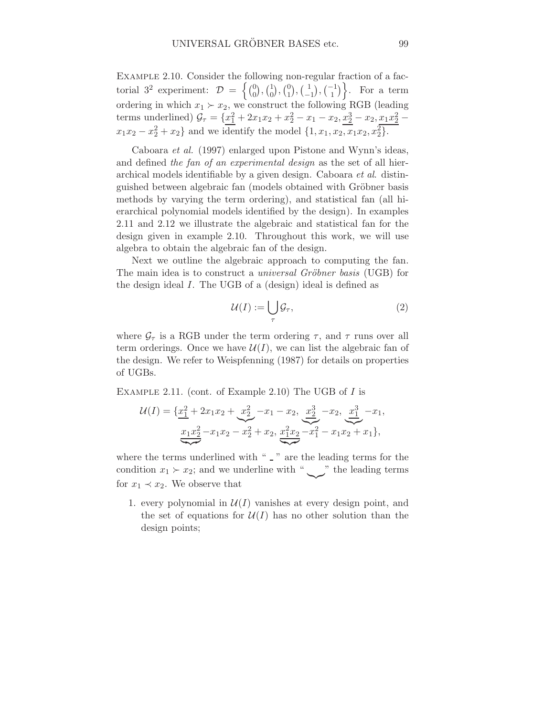Example 2.10. Consider the following non-regular fraction of a factorial  $3^2$  experiment:  $\mathcal{D} = \begin{cases} \begin{pmatrix} 0 \\ 0 \end{pmatrix} \end{cases}$  $\binom{0}{0}$ ,  $\binom{1}{0}$  $\binom{1}{0}$ ,  $\binom{0}{1}$  $\binom{0}{1}, \binom{1}{-1}$  $\begin{pmatrix} 1 \\ -1 \end{pmatrix}$ ,  $\begin{pmatrix} -1 \\ 1 \end{pmatrix}$ . For a term ordering in which  $x_1 \succ x_2$ , we construct the following RGB (leading terms underlined)  $\mathcal{G}_{\tau} = \{x_1^2 + 2x_1x_2 + x_2^2 - x_1 - x_2, x_2^3 - x_2, x_1x_2^2 - x_2\}$  $x_1x_2 - x_2^2 + x_2$  and we identify the model  $\{1, x_1, x_2, x_1x_2, x_2^2\}$ .

Caboara et al. (1997) enlarged upon Pistone and Wynn's ideas, and defined the fan of an experimental design as the set of all hierarchical models identifiable by a given design. Caboara et al. distinguished between algebraic fan (models obtained with Gröbner basis methods by varying the term ordering), and statistical fan (all hierarchical polynomial models identified by the design). In examples 2.11 and 2.12 we illustrate the algebraic and statistical fan for the design given in example 2.10. Throughout this work, we will use algebra to obtain the algebraic fan of the design.

Next we outline the algebraic approach to computing the fan. The main idea is to construct a *universal Gröbner basis* (UGB) for the design ideal I. The UGB of a (design) ideal is defined as

$$
\mathcal{U}(I) := \bigcup_{\tau} \mathcal{G}_{\tau},\tag{2}
$$

where  $\mathcal{G}_{\tau}$  is a RGB under the term ordering  $\tau$ , and  $\tau$  runs over all term orderings. Once we have  $\mathcal{U}(I)$ , we can list the algebraic fan of the design. We refer to Weispfenning (1987) for details on properties of UGBs.

EXAMPLE 2.11. (cont. of Example 2.10) The UGB of I is

$$
\mathcal{U}(I) = \{ \underline{x_1^2} + 2x_1x_2 + \underline{x_2^2} - x_1 - x_2, \underline{x_2^3} - x_2, \underline{x_1^3} - x_1, \\ \underline{x_1x_2^2} - x_1x_2 - x_2^2 + x_2, \underline{x_1^2x_2} - x_1^2 - x_1x_2 + x_1 \},
$$

where the terms underlined with " $\sqrt{ }$ " are the leading terms for the condition  $x_1 \succ x_2$ ; and we underline with "  $\sim$ " the leading terms for  $x_1 \prec x_2$ . We observe that

1. every polynomial in  $\mathcal{U}(I)$  vanishes at every design point, and the set of equations for  $\mathcal{U}(I)$  has no other solution than the design points;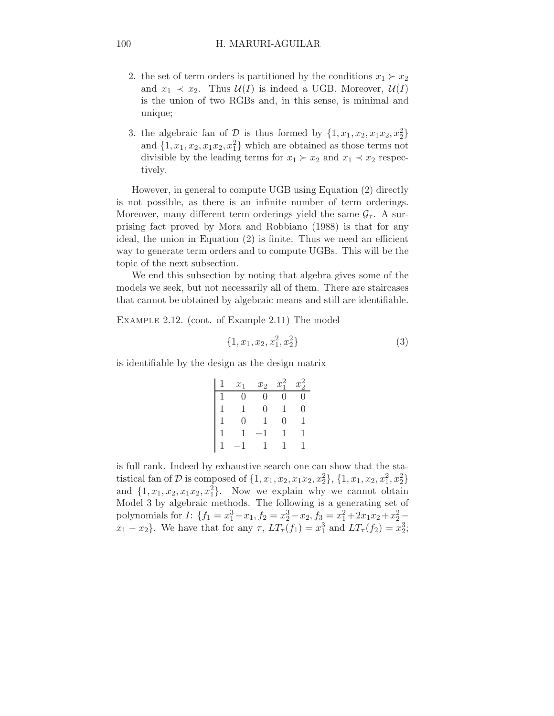- 2. the set of term orders is partitioned by the conditions  $x_1 \succ x_2$ and  $x_1 \prec x_2$ . Thus  $\mathcal{U}(I)$  is indeed a UGB. Moreover,  $\mathcal{U}(I)$ is the union of two RGBs and, in this sense, is minimal and unique;
- 3. the algebraic fan of  $\mathcal{D}$  is thus formed by  $\{1, x_1, x_2, x_1x_2, x_2^2\}$ and  $\{1, x_1, x_2, x_1x_2, x_1^2\}$  which are obtained as those terms not divisible by the leading terms for  $x_1 \succ x_2$  and  $x_1 \prec x_2$  respectively.

However, in general to compute UGB using Equation (2) directly is not possible, as there is an infinite number of term orderings. Moreover, many different term orderings yield the same  $G<sub>\tau</sub>$ . A surprising fact proved by Mora and Robbiano (1988) is that for any ideal, the union in Equation (2) is finite. Thus we need an efficient way to generate term orders and to compute UGBs. This will be the topic of the next subsection.

We end this subsection by noting that algebra gives some of the models we seek, but not necessarily all of them. There are staircases that cannot be obtained by algebraic means and still are identifiable.

Example 2.12. (cont. of Example 2.11) The model

$$
\{1, x_1, x_2, x_1^2, x_2^2\} \tag{3}
$$

is identifiable by the design as the design matrix

| $x_1$ | $x_2$ | $x_1^2$ | $x_2^2$ |
|-------|-------|---------|---------|
| O     | 0     | 0       | O       |
|       | 0     |         | 0       |
| 0     |       | 0       | 1       |
|       |       |         | 1       |
|       |       |         |         |

is full rank. Indeed by exhaustive search one can show that the statistical fan of  $D$  is composed of  $\{1, x_1, x_2, x_1x_2, x_2^2\}$ ,  $\{1, x_1, x_2, x_1^2, x_2^2\}$ and  $\{1, x_1, x_2, x_1x_2, x_1^2\}$ . Now we explain why we cannot obtain Model 3 by algebraic methods. The following is a generating set of polynomials for  $I: \{f_1 = x_1^3 - x_1, f_2 = x_2^3 - x_2, f_3 = x_1^2 + 2x_1x_2 + x_2^2$  $x_1 - x_2$ . We have that for any  $\tau$ ,  $LT_{\tau}(f_1) = x_1^3$  and  $LT_{\tau}(f_2) = x_2^3$ ;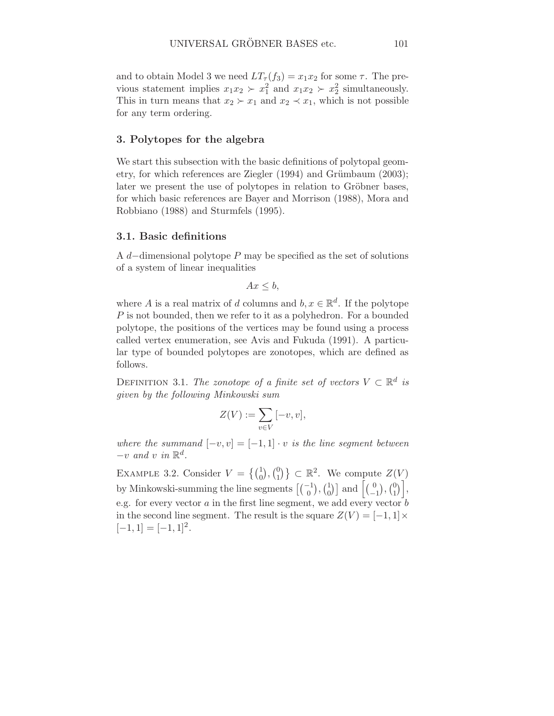and to obtain Model 3 we need  $LT_{\tau}(f_3) = x_1x_2$  for some  $\tau$ . The previous statement implies  $x_1x_2 \succ x_1^2$  and  $x_1x_2 \succ x_2^2$  simultaneously. This in turn means that  $x_2 \succ x_1$  and  $x_2 \prec x_1$ , which is not possible for any term ordering.

## 3. Polytopes for the algebra

We start this subsection with the basic definitions of polytopal geometry, for which references are Ziegler  $(1994)$  and Grümbaum  $(2003)$ ; later we present the use of polytopes in relation to Gröbner bases, for which basic references are Bayer and Morrison (1988), Mora and Robbiano (1988) and Sturmfels (1995).

## 3.1. Basic definitions

A d−dimensional polytope P may be specified as the set of solutions of a system of linear inequalities

$$
Ax \leq b,
$$

where A is a real matrix of d columns and  $b, x \in \mathbb{R}^d$ . If the polytope P is not bounded, then we refer to it as a polyhedron. For a bounded polytope, the positions of the vertices may be found using a process called vertex enumeration, see Avis and Fukuda (1991). A particular type of bounded polytopes are zonotopes, which are defined as follows.

DEFINITION 3.1. The zonotope of a finite set of vectors  $V \subset \mathbb{R}^d$  is given by the following Minkowski sum

$$
Z(V) := \sum_{v \in V} [-v, v],
$$

where the summand  $[-v, v] = [-1, 1] \cdot v$  is the line segment between  $-v$  and v in  $\mathbb{R}^d$ .

EXAMPLE 3.2. Consider  $V = \{ {1 \choose 0}, {0 \choose 1} \}$  $\{0\}\subset\mathbb{R}^2$ . We compute  $Z(V)$ by Minkowski-summing the line segments  $\left[\binom{-1}{0}, \binom{1}{0}\right]$  $\binom{1}{0}$  and  $\left[\binom{0}{-1}\right]$  $\binom{0}{-1}$ ,  $\binom{0}{1}$  $\begin{bmatrix} 0 \\ 1 \end{bmatrix}$ e.g. for every vector  $a$  in the first line segment, we add every vector  $\vec{b}$ in the second line segment. The result is the square  $Z(V) = [-1,1] \times$  $[-1, 1] = [-1, 1]^2.$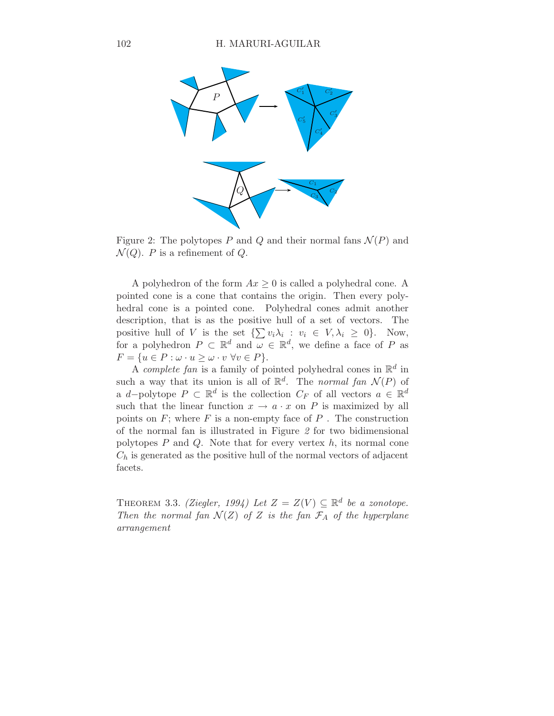

Figure 2: The polytopes P and Q and their normal fans  $\mathcal{N}(P)$  and  $\mathcal{N}(Q)$ . P is a refinement of Q.

A polyhedron of the form  $Ax \geq 0$  is called a polyhedral cone. A pointed cone is a cone that contains the origin. Then every polyhedral cone is a pointed cone. Polyhedral cones admit another description, that is as the positive hull of a set of vectors. The positive hull of V is the set  $\{\sum v_i \lambda_i : v_i \in V, \lambda_i \geq 0\}$ . Now, for a polyhedron  $P \subset \mathbb{R}^d$  and  $\omega \in \mathbb{R}^d$ , we define a face of P as  $F = \{u \in P : \omega \cdot u \geq \omega \cdot v \,\,\forall v \in P\}.$ 

A *complete fan* is a family of pointed polyhedral cones in  $\mathbb{R}^d$  in such a way that its union is all of  $\mathbb{R}^d$ . The normal fan  $\mathcal{N}(P)$  of a d-polytope  $P \subset \mathbb{R}^d$  is the collection  $C_F$  of all vectors  $a \in \mathbb{R}^d$ such that the linear function  $x \to a \cdot x$  on P is maximized by all points on  $F$ ; where  $F$  is a non-empty face of  $P$ . The construction of the normal fan is illustrated in Figure 2 for two bidimensional polytopes  $P$  and  $Q$ . Note that for every vertex  $h$ , its normal cone  $C_h$  is generated as the positive hull of the normal vectors of adjacent facets.

THEOREM 3.3. (Ziegler, 1994) Let  $Z = Z(V) \subseteq \mathbb{R}^d$  be a zonotope. Then the normal fan  $\mathcal{N}(Z)$  of Z is the fan  $\mathcal{F}_A$  of the hyperplane arrangement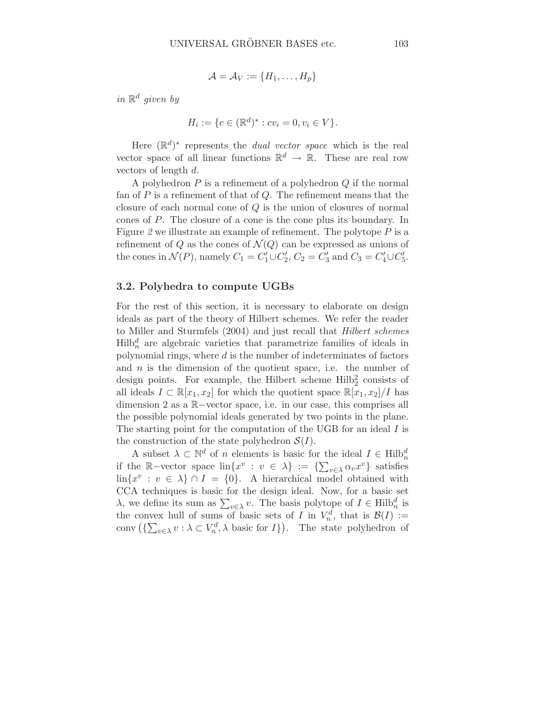$$
\mathcal{A} = \mathcal{A}_V := \{H_1, \ldots, H_p\}
$$

in  $\mathbb{R}^d$  given by

$$
H_i := \{ c \in (\mathbb{R}^d)^* : cv_i = 0, v_i \in V \}.
$$

Here  $(\mathbb{R}^d)^*$  represents the *dual vector space* which is the real vector space of all linear functions  $\mathbb{R}^d \to \mathbb{R}$ . These are real row vectors of length d.

A polyhedron  $P$  is a refinement of a polyhedron  $Q$  if the normal fan of  $P$  is a refinement of that of  $Q$ . The refinement means that the closure of each normal cone of Q is the union of closures of normal cones of P. The closure of a cone is the cone plus its boundary. In Figure 2 we illustrate an example of refinement. The polytope  $P$  is a refinement of Q as the cones of  $\mathcal{N}(Q)$  can be expressed as unions of the cones in  $\mathcal{N}(P)$ , namely  $C_1 = C'_1 \cup C'_2$ ,  $C_2 = C'_3$  and  $C_3 = C'_4 \cup C'_5$ .

#### 3.2. Polyhedra to compute UGBs

For the rest of this section, it is necessary to elaborate on design ideals as part of the theory of Hilbert schemes. We refer the reader to Miller and Sturmfels (2004) and just recall that Hilbert schemes  $Hilb<sub>n</sub><sup>d</sup>$  are algebraic varieties that parametrize families of ideals in polynomial rings, where  $d$  is the number of indeterminates of factors and  $n$  is the dimension of the quotient space, i.e. the number of design points. For example, the Hilbert scheme  $Hilb<sub>2</sub><sup>2</sup>$  consists of all ideals  $I \subset \mathbb{R}[x_1, x_2]$  for which the quotient space  $\mathbb{R}[x_1, x_2]/I$  has dimension 2 as a R−vector space, i.e. in our case, this comprises all the possible polynomial ideals generated by two points in the plane. The starting point for the computation of the UGB for an ideal I is the construction of the state polyhedron  $\mathcal{S}(I)$ .

A subset  $\lambda \subset \mathbb{N}^d$  of n elements is basic for the ideal  $I \in \text{Hilb}_n^d$ if the R-vector space  $\text{lin}\{x^v : v \in \lambda\} := \{\sum_{v \in \lambda} \alpha_v x^v\}$  satisfies  $\lim\{x^v : v \in \lambda\} \cap I = \{0\}.$  A hierarchical model obtained with CCA techniques is basic for the design ideal. Now, for a basic set  $\lambda$ , we define its sum as  $\sum_{v \in \lambda} v$ . The basis polytope of  $I \in \text{Hilb}_n^d$  is the convex hull of sums of basic sets of I in  $V_n^d$ , that is  $\mathcal{B}(I) :=$ conv  $(\sum_{v\in\lambda} v : \lambda \subset V_n^d, \lambda \text{ basic for } I\})$ . The state polyhedron of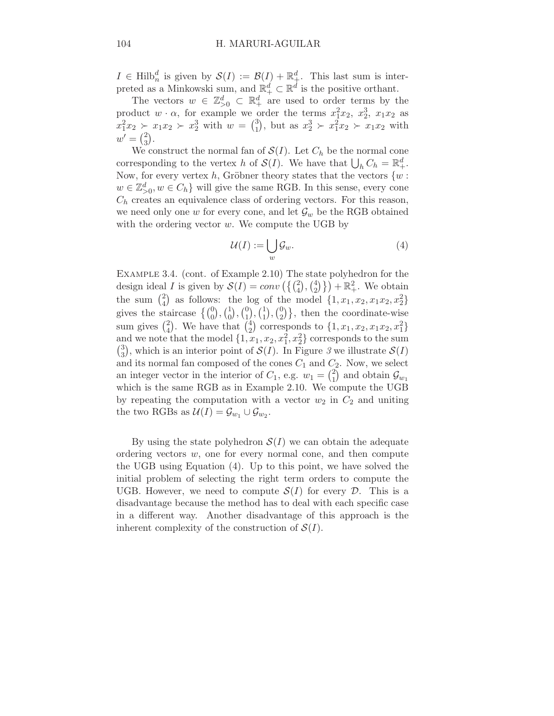$I \in Hilb_n^d$  is given by  $\mathcal{S}(I) := \mathcal{B}(I) + \mathbb{R}^d_+$ . This last sum is interpreted as a Minkowski sum, and  $\mathbb{R}^d_+ \subset \mathbb{R}^d$  is the positive orthant.

The vectors  $w \in \mathbb{Z}_{\geq 0}^d \subset \mathbb{R}_+^d$  are used to order terms by the product  $w \cdot \alpha$ , for example we order the terms  $x_1^2 x_2$ ,  $x_2^3$ ,  $x_1 x_2$  as  $x_1^2 x_2 \succ x_1 x_2 \succ x_2^3$  with  $w = \binom{3}{1}$  $_1^3$ , but as  $x_2^3 \succ x_1^2 x_2 \succ x_1 x_2$  with  $w' = \binom{2}{3}$  $_{3}^{2}$ .

We construct the normal fan of  $\mathcal{S}(I)$ . Let  $C_h$  be the normal cone corresponding to the vertex h of  $\mathcal{S}(I)$ . We have that  $\bigcup_h C_h = \mathbb{R}^d_+$ . Now, for every vertex h, Gröbner theory states that the vectors  $\{w:$  $w \in \mathbb{Z}_{>0}^d, w \in C_h$  will give the same RGB. In this sense, every cone  $C_h$  creates an equivalence class of ordering vectors. For this reason, we need only one w for every cone, and let  $\mathcal{G}_w$  be the RGB obtained with the ordering vector  $w$ . We compute the UGB by

$$
\mathcal{U}(I) := \bigcup_{w} \mathcal{G}_w.
$$
\n<sup>(4)</sup>

Example 3.4. (cont. of Example 2.10) The state polyhedron for the design ideal *I* is given by  $\mathcal{S}(I) = conv\left(\left\{\binom{2}{4}, \binom{4}{2}\right\}$  $\{2\}$ } +  $\mathbb{R}^2_+$ . We obtain the sum  $\binom{2}{4}$  $_{4}^{2}$  as follows: the log of the model  $\{1, x_1, x_2, x_1x_2, x_2^2\}$ gives the staircase  $\left\{ \binom{0}{0}, \binom{1}{0} \right\}$  $\binom{1}{0}$ ,  $\binom{0}{1}$  $\binom{0}{1}, \binom{1}{1}$  $\binom{1}{1}, \binom{0}{2}$  $\begin{bmatrix} 0 \\ 2 \end{bmatrix}$ , then the coordinate-wise sum gives  $\binom{2}{4}$  $_{4}^{2}$ ). We have that  $_{2}^{4}$  $_{2}^{4}$ ) corresponds to  $\{1, x_1, x_2, x_1x_2, x_1^{2}\}$ and we note that the model  $\{1, x_1, x_2, x_1^2, x_2^2\}$  corresponds to the sum  $\binom{3}{2}$  $3$ , which is an interior point of  $\mathcal{S}(I)$ . In Figure 3 we illustrate  $\mathcal{S}(I)$ and its normal fan composed of the cones  $C_1$  and  $C_2$ . Now, we select an integer vector in the interior of  $C_1$ , e.g.  $w_1 = \begin{pmatrix} 2 \\ 1 \end{pmatrix}$  $\binom{2}{1}$  and obtain  $\mathcal{G}_{w_1}$ which is the same RGB as in Example 2.10. We compute the UGB by repeating the computation with a vector  $w_2$  in  $C_2$  and uniting the two RGBs as  $\mathcal{U}(I) = \mathcal{G}_{w_1} \cup \mathcal{G}_{w_2}$ .

By using the state polyhedron  $\mathcal{S}(I)$  we can obtain the adequate ordering vectors  $w$ , one for every normal cone, and then compute the UGB using Equation (4). Up to this point, we have solved the initial problem of selecting the right term orders to compute the UGB. However, we need to compute  $\mathcal{S}(I)$  for every  $\mathcal{D}$ . This is a disadvantage because the method has to deal with each specific case in a different way. Another disadvantage of this approach is the inherent complexity of the construction of  $\mathcal{S}(I)$ .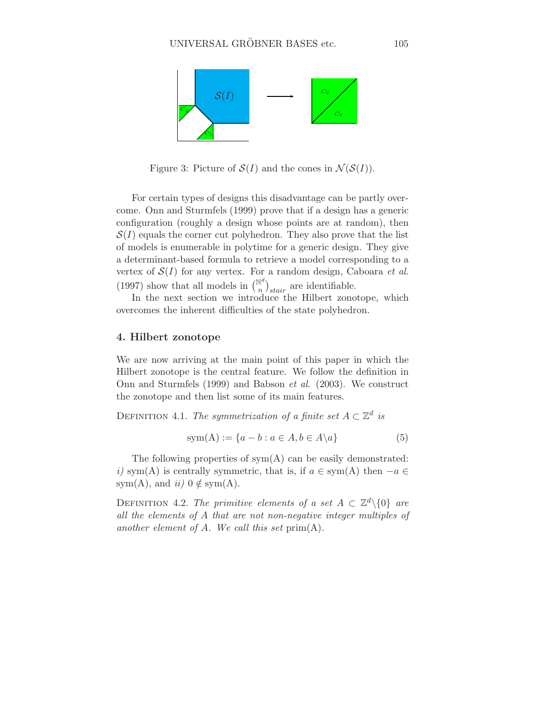

Figure 3: Picture of  $\mathcal{S}(I)$  and the cones in  $\mathcal{N}(\mathcal{S}(I))$ .

For certain types of designs this disadvantage can be partly overcome. Onn and Sturmfels (1999) prove that if a design has a generic configuration (roughly a design whose points are at random), then  $S(I)$  equals the corner cut polyhedron. They also prove that the list of models is enumerable in polytime for a generic design. They give a determinant-based formula to retrieve a model corresponding to a vertex of  $\mathcal{S}(I)$  for any vertex. For a random design, Caboara *et al.* (1997) show that all models in  $\binom{\mathbb{N}^d}{n}$  $\binom{a}{n}_{stair}$  are identifiable.

In the next section we introduce the Hilbert zonotope, which overcomes the inherent difficulties of the state polyhedron.

## 4. Hilbert zonotope

We are now arriving at the main point of this paper in which the Hilbert zonotope is the central feature. We follow the definition in Onn and Sturmfels (1999) and Babson et al. (2003). We construct the zonotope and then list some of its main features.

DEFINITION 4.1. The symmetrization of a finite set  $A \subset \mathbb{Z}^d$  is

$$
sym(A) := \{a - b : a \in A, b \in A \setminus a\}
$$
 (5)

The following properties of  $sym(A)$  can be easily demonstrated: i) sym(A) is centrally symmetric, that is, if  $a \in sym(A)$  then  $-a \in$ sym(A), and  $ii)$  0  $\notin$  sym(A).

DEFINITION 4.2. The primitive elements of a set  $A \subset \mathbb{Z}^d \setminus \{0\}$  are all the elements of A that are not non-negative integer multiples of another element of A. We call this set  $prim(A)$ .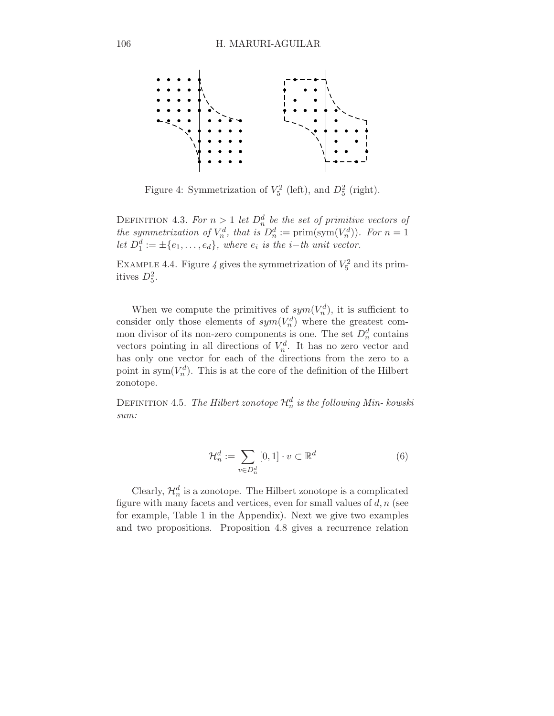

Figure 4: Symmetrization of  $V_5^2$  (left), and  $D_5^2$  (right).

DEFINITION 4.3. For  $n > 1$  let  $D_n^d$  be the set of primitive vectors of the symmetrization of  $V_n^d$ , that is  $D_n^d := \text{prim}(\text{sym}(V_n^d))$ . For  $n = 1$ let  $D_1^d := \pm \{e_1, \ldots, e_d\}$ , where  $e_i$  is the i–th unit vector.

EXAMPLE 4.4. Figure 4 gives the symmetrization of  $V_5^2$  and its primitives  $D_5^2$ .

When we compute the primitives of  $sym(V_n^d)$ , it is sufficient to consider only those elements of  $sym(V_n^d)$  where the greatest common divisor of its non-zero components is one. The set  $D_n^d$  contains vectors pointing in all directions of  $V_n^d$ . It has no zero vector and has only one vector for each of the directions from the zero to a point in sym $(V_n^d)$ . This is at the core of the definition of the Hilbert zonotope.

DEFINITION 4.5. *The Hilbert zonotope*  $\mathcal{H}_n^d$  *is the following Min- kowski* sum:

$$
\mathcal{H}_n^d := \sum_{v \in D_n^d} [0, 1] \cdot v \subset \mathbb{R}^d \tag{6}
$$

Clearly,  $\mathcal{H}_n^d$  is a zonotope. The Hilbert zonotope is a complicated figure with many facets and vertices, even for small values of  $d, n$  (see for example, Table 1 in the Appendix). Next we give two examples and two propositions. Proposition 4.8 gives a recurrence relation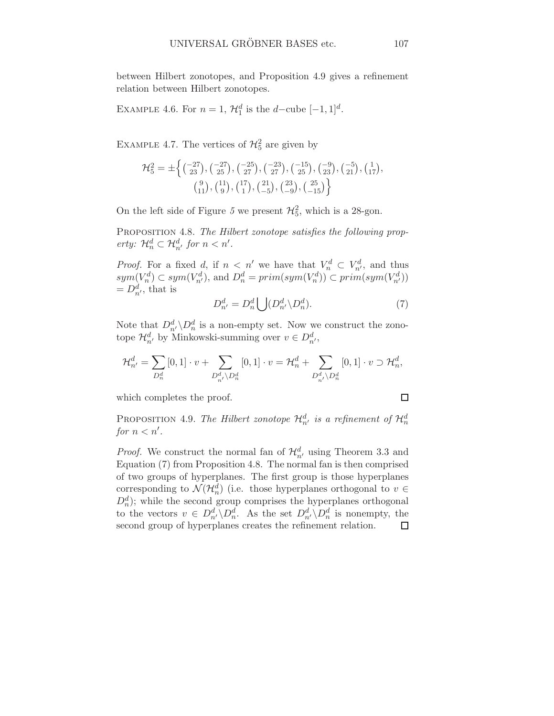between Hilbert zonotopes, and Proposition 4.9 gives a refinement relation between Hilbert zonotopes.

EXAMPLE 4.6. For  $n = 1$ ,  $\mathcal{H}_1^d$  is the d-cube  $[-1, 1]^d$ .

EXAMPLE 4.7. The vertices of  $\mathcal{H}_5^2$  are given by

$$
\mathcal{H}_5^2 = \pm \left\{ \begin{pmatrix} -27 \\ 23 \end{pmatrix}, \begin{pmatrix} -27 \\ 25 \end{pmatrix}, \begin{pmatrix} -25 \\ 27 \end{pmatrix}, \begin{pmatrix} -23 \\ 27 \end{pmatrix}, \begin{pmatrix} -15 \\ 25 \end{pmatrix}, \begin{pmatrix} -9 \\ 23 \end{pmatrix}, \begin{pmatrix} -5 \\ 21 \end{pmatrix}, \begin{pmatrix} 1 \\ 17 \end{pmatrix}, \begin{pmatrix} 9 \\ 11 \end{pmatrix}, \begin{pmatrix} 11 \\ 9 \end{pmatrix}, \begin{pmatrix} 11 \\ 1 \end{pmatrix}, \begin{pmatrix} 21 \\ -5 \end{pmatrix}, \begin{pmatrix} 23 \\ -9 \end{pmatrix}, \begin{pmatrix} 25 \\ -15 \end{pmatrix} \right\}
$$

On the left side of Figure 5 we present  $\mathcal{H}_5^2$ , which is a 28-gon.

PROPOSITION 4.8. The Hilbert zonotope satisfies the following property:  $\mathcal{H}_n^d \subset \mathcal{H}_{n'}^d$  for  $n < n'.$ 

*Proof.* For a fixed d, if  $n < n'$  we have that  $V_n^d \subset V_{n'}^d$ , and thus  $sym(V_n^d) \subset sym(V_{n'}^d)$ , and  $D_n^d = prim(sym(V_n^d)) \subset prim(sym(V_{n'}^d))$  $=D_{n'}^d$ , that is

$$
D_{n'}^d = D_n^d \bigcup (D_{n'}^d \backslash D_n^d). \tag{7}
$$

Note that  $D_{n'}^d \backslash D_n^d$  is a non-empty set. Now we construct the zonotope  $\mathcal{H}_{n'}^d$  by Minkowski-summing over  $v \in D_{n'}^d$ ,

$$
\mathcal{H}^d_{n'} = \sum_{D^d_n} \left[0,1\right] \cdot v + \sum_{D^d_{n'} \backslash D^d_n} \left[0,1\right] \cdot v = \mathcal{H}^d_n + \sum_{D^d_{n'} \backslash D^d_n} \left[0,1\right] \cdot v \supset \mathcal{H}^d_n,
$$

which completes the proof.

 $\Box$ 

PROPOSITION 4.9. The Hilbert zonotope  $\mathcal{H}^d_{n'}$  is a refinement of  $\mathcal{H}^d_{n}$ for  $n < n'$ .

*Proof.* We construct the normal fan of  $\mathcal{H}_{n'}^d$  using Theorem 3.3 and Equation (7) from Proposition 4.8. The normal fan is then comprised of two groups of hyperplanes. The first group is those hyperplanes corresponding to  $\mathcal{N}(\mathcal{H}_n^d)$  (i.e. those hyperplanes orthogonal to  $v \in$  $D_n^d$ ); while the second group comprises the hyperplanes orthogonal to the vectors  $v \in D_{n'}^d \backslash D_n^d$ . As the set  $D_{n'}^d \backslash D_n^d$  is nonempty, the second group of hyperplanes creates the refinement relation. $\Box$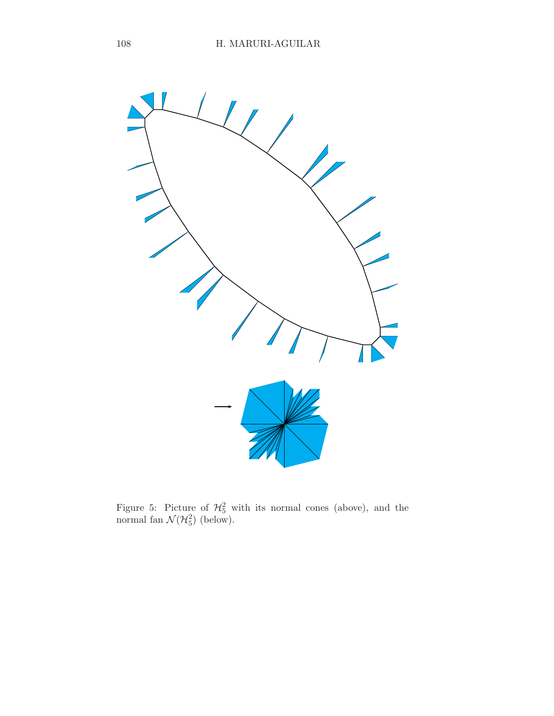

Figure 5: Picture of  $\mathcal{H}_5^2$  with its normal cones (above), and the normal fan  $\mathcal{N}(\mathcal{H}_5^2)$  (below).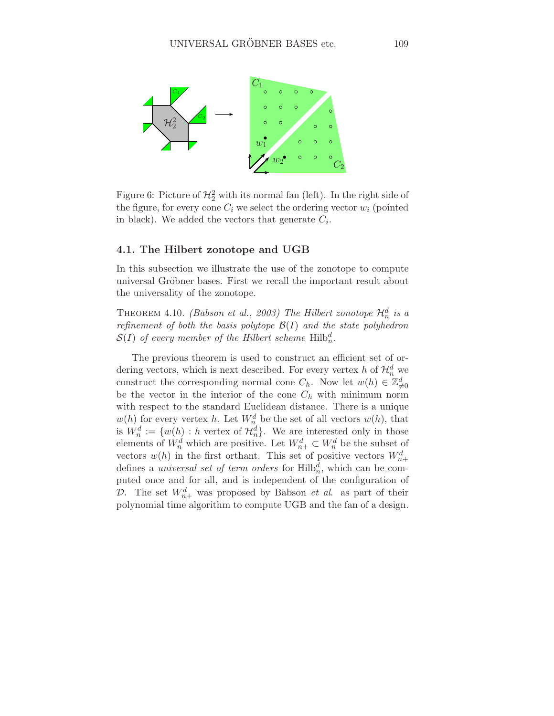

Figure 6: Picture of  $\mathcal{H}_2^2$  with its normal fan (left). In the right side of the figure, for every cone  $C_i$  we select the ordering vector  $w_i$  (pointed in black). We added the vectors that generate  $C_i$ .

## 4.1. The Hilbert zonotope and UGB

In this subsection we illustrate the use of the zonotope to compute universal Gröbner bases. First we recall the important result about the universality of the zonotope.

THEOREM 4.10. (Babson et al., 2003) The Hilbert zonotope  $\mathcal{H}^d_n$  is a refinement of both the basis polytope  $\mathcal{B}(I)$  and the state polyhedron  $\mathcal{S}(I)$  of every member of the Hilbert scheme  $\mathrm{Hilb}_n^d$ .

The previous theorem is used to construct an efficient set of ordering vectors, which is next described. For every vertex h of  $\mathcal{H}_n^d$  we construct the corresponding normal cone  $C_h$ . Now let  $w(h) \in \mathbb{Z}_{\neq 0}^d$ be the vector in the interior of the cone  $C_h$  with minimum norm with respect to the standard Euclidean distance. There is a unique  $w(h)$  for every vertex h. Let  $W_n^d$  be the set of all vectors  $w(h)$ , that is  $W_n^d := \{w(h) : h \text{ vertex of } \mathcal{H}_n^d\}.$  We are interested only in those elements of  $W_n^d$  which are positive. Let  $W_{n+}^d \subset W_n^d$  be the subset of vectors  $w(h)$  in the first orthant. This set of positive vectors  $W_{n+}^d$ defines a *universal set of term orders* for  $\text{Hilb}_n^d$ , which can be computed once and for all, and is independent of the configuration of D. The set  $W_{n+}^d$  was proposed by Babson *et al.* as part of their polynomial time algorithm to compute UGB and the fan of a design.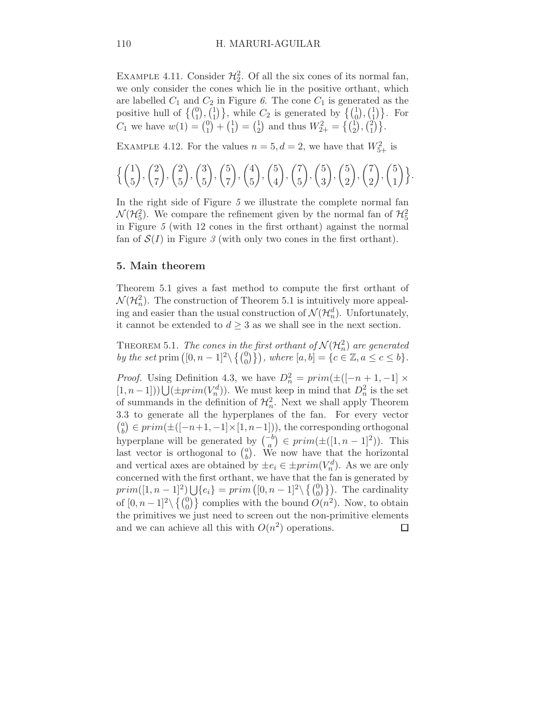EXAMPLE 4.11. Consider  $\mathcal{H}_2^2$ . Of all the six cones of its normal fan, we only consider the cones which lie in the positive orthant, which are labelled  $C_1$  and  $C_2$  in Figure 6. The cone  $C_1$  is generated as the positive hull of  $\left\{ \binom{0}{1}, \binom{1}{1} \right\}$  $\{(\begin{matrix}1\\0\end{matrix}), (\begin{matrix}1\\1\end{matrix})\}$ , while  $C_2$  is generated by  $\{(\begin{matrix}1\\0\end{matrix}), (\begin{matrix}1\\1\end{matrix})\}$  $\begin{bmatrix} 1 \\ 1 \end{bmatrix}$ . For  $C_1$  we have  $w(1) = \binom{0}{1}$  $\binom{0}{1} + \binom{1}{1}$  $\binom{1}{1} = \binom{1}{2}$  $\binom{1}{2}$  and thus  $W_{2+}^2 = \left\{ \binom{1}{2}, \binom{2}{1} \right\}$  $_{1}^{2})\}.$ 

EXAMPLE 4.12. For the values  $n = 5, d = 2$ , we have that  $W_{5+}^2$  is

$$
\left\{ {1 \choose 5}, {2 \choose 7}, {2 \choose 5}, {3 \choose 5}, {5 \choose 7}, {4 \choose 5}, {5 \choose 4}, {7 \choose 5}, {5 \choose 3}, {5 \choose 2}, {7 \choose 2}, {5 \choose 1} \right\}.
$$

In the right side of Figure 5 we illustrate the complete normal fan  $\mathcal{N}(\mathcal{H}_5^2)$ . We compare the refinement given by the normal fan of  $\mathcal{H}_5^2$ in Figure 5 (with 12 cones in the first orthant) against the normal fan of  $\mathcal{S}(I)$  in Figure 3 (with only two cones in the first orthant).

## 5. Main theorem

Theorem 5.1 gives a fast method to compute the first orthant of  $\mathcal{N}(\mathcal{H}_n^2)$ . The construction of Theorem 5.1 is intuitively more appealing and easier than the usual construction of  $\mathcal{N}(\mathcal{H}_n^d)$ . Unfortunately, it cannot be extended to  $d \geq 3$  as we shall see in the next section.

THEOREM 5.1. The cones in the first orthant of  $\mathcal{N}(\mathcal{H}^2_n)$  are generated by the set prim  $([0, n-1]^2 \setminus \{ \begin{pmatrix} 0 \\ 0 \end{pmatrix} \}$ , where  $[a, b] = \{c \in \mathbb{Z}, a \le c \le b\}.$ 

*Proof.* Using Definition 4.3, we have  $D_n^2 = prim(\pm([-n+1,-1] \times$  $(1, n-1])$ )  $\bigcup (\pm prim(V_n^d))$ . We must keep in mind that  $D_n^2$  is the set of summands in the definition of  $\mathcal{H}_n^2$ . Next we shall apply Theorem 3.3 to generate all the hyperplanes of the fan. For every vector  $\binom{a}{b} \in prim(\pm([-n+1,-1]\times[1,n-1]))$ , the corresponding orthogonal by  $\subset P^{n}$   $m(\pm(1, n+1, 1) \wedge [1, n-1]),$  the corresponding orthogonal hyperplane will be generated by  $\binom{-b}{a} \in prim(\pm([1, n-1]^2)).$  This last vector is orthogonal to  $\binom{a}{b}$  $\alpha_b^a$ ). We now have that the horizontal and vertical axes are obtained by  $\pm e_i \in \pm prim(V_n^d)$ . As we are only concerned with the first orthant, we have that the fan is generated by  $prim([1, n-1]^2) \bigcup \{e_i\} = prim([0, n-1]^2 \setminus \{0\}\)$ . The cardinality of  $[0, n-1]^2 \setminus \{ \begin{pmatrix} 0 \\ 0 \end{pmatrix} \}$  complies with the bound  $O(n^2)$ . Now, to obtain the primitives we just need to screen out the non-primitive elements and we can achieve all this with  $O(n^2)$  operations.  $\Box$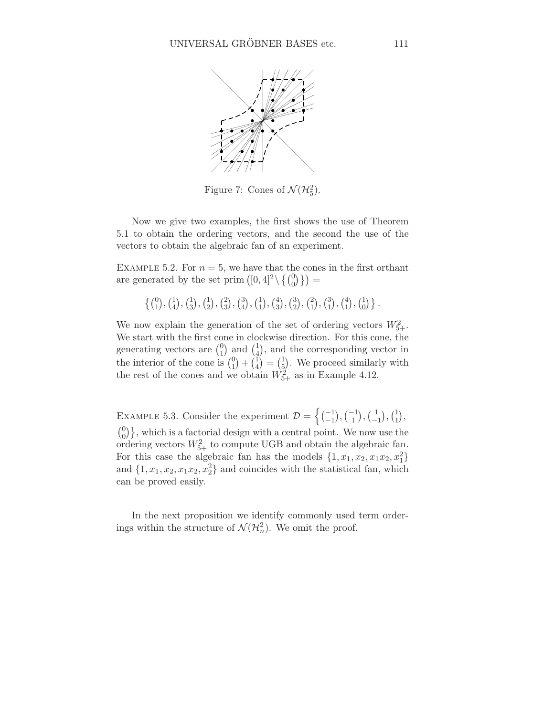

Figure 7: Cones of  $\mathcal{N}(\mathcal{H}_5^2)$ .

Now we give two examples, the first shows the use of Theorem 5.1 to obtain the ordering vectors, and the second the use of the vectors to obtain the algebraic fan of an experiment.

EXAMPLE 5.2. For  $n = 5$ , we have that the cones in the first orthant are generated by the set prim  $([0, 4]^2 \setminus \{ \begin{pmatrix} 0 \\ 0 \end{pmatrix} \}) =$ 

$$
\left\{ \begin{pmatrix} 0 \\ 1 \end{pmatrix}, \begin{pmatrix} 1 \\ 4 \end{pmatrix}, \begin{pmatrix} 1 \\ 3 \end{pmatrix}, \begin{pmatrix} 1 \\ 2 \end{pmatrix}, \begin{pmatrix} 2 \\ 3 \end{pmatrix}, \begin{pmatrix} 3 \\ 4 \end{pmatrix}, \begin{pmatrix} 1 \\ 1 \end{pmatrix}, \begin{pmatrix} 3 \\ 2 \end{pmatrix}, \begin{pmatrix} 2 \\ 1 \end{pmatrix}, \begin{pmatrix} 3 \\ 1 \end{pmatrix}, \begin{pmatrix} 4 \\ 1 \end{pmatrix}, \begin{pmatrix} 1 \\ 0 \end{pmatrix} \right\}.
$$

We now explain the generation of the set of ordering vectors  $W_{5+}^2$ . We start with the first cone in clockwise direction. For this cone, the generating vectors are  $\binom{0}{1}$  $\binom{0}{1}$  and  $\binom{1}{4}$  $_{4}^{1}$ , and the corresponding vector in the interior of the cone is  $\binom{0}{1}$  $\binom{0}{1} + \binom{1}{4}$  $\binom{1}{4} = \binom{1}{5}$  $\frac{1}{2}$ . We proceed similarly with the rest of the cones and we obtain  $W_{5+}^2$  as in Example 4.12.

EXAMPLE 5.3. Consider the experiment  $\mathcal{D} = \left\{ \begin{pmatrix} -1 \\ -1 \end{pmatrix}, \begin{pmatrix} -1 \\ 1 \end{pmatrix}, \begin{pmatrix} 1 \\ -1 \end{pmatrix}, \begin{pmatrix} 1 \\ -1 \end{pmatrix}, \begin{pmatrix} 1 \\ -1 \end{pmatrix}, \begin{pmatrix} 1 \\ -1 \end{pmatrix}, \begin{pmatrix} 1 \\ -1 \end{pmatrix}, \begin{pmatrix} 1 \\ -1 \end{pmatrix}, \begin{pmatrix} 1 \\ -1 \end{pmatrix}, \begin{pmatrix} 1 \\ -1 \end{pmatrix}, \begin$  $\binom{1}{-1}, \binom{1}{1}$  $_{1}^{1}),$  $\binom{0}{0}$ , which is a factorial design with a central point. We now use the  $\binom{0}{0}$ , which is a factorial design with a central point. We now use the ordering vectors  $W_{5+}^2$  to compute UGB and obtain the algebraic fan. For this case the algebraic fan has the models  $\{1, x_1, x_2, x_1x_2, x_1^2\}$ and  $\{1, x_1, x_2, x_1x_2, x_2^2\}$  and coincides with the statistical fan, which can be proved easily.

In the next proposition we identify commonly used term orderings within the structure of  $\mathcal{N}(\mathcal{H}_n^2)$ . We omit the proof.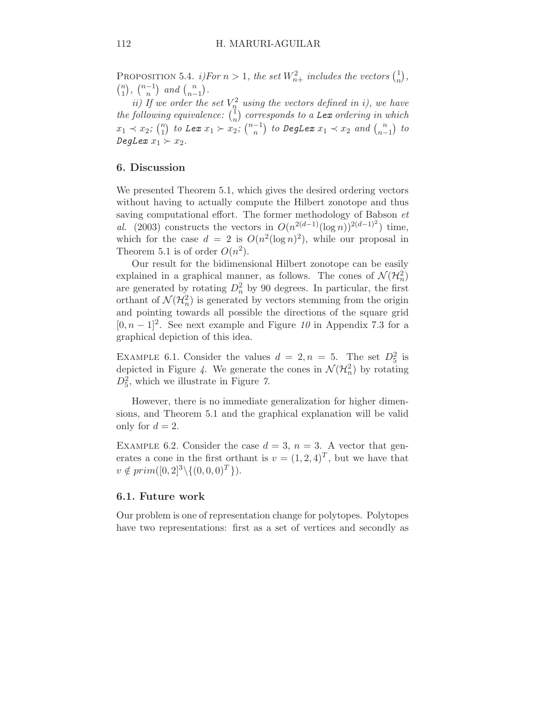PROPOSITION 5.4. *i*)For  $n > 1$ , the set  $W_{n+}^2$  includes the vectors  $\binom{1}{n}$  $\binom{1}{n}$ ,  $\binom{n}{1}$  $\binom{n}{1}, \binom{n-1}{n}$  $\binom{n}{n}$  and  $\binom{n}{n-1}$  $\binom{n}{n-1}$ .

ii) If we order the set  $V_n^2$  using the vectors defined in i), we have the following equivalence:  $\binom{1}{n}$  $\binom{1}{n}$  corresponds to a Lex ordering in which  $x_1 \prec x_2; \binom{n}{1}$  $\binom{n}{1}$  to Lex  $x_1 \succ x_2$ ;  $\binom{n-1}{n}$  $\binom{-1}{n}$  to DegLex  $x_1 \prec x_2$  and  $\binom{n}{n-1}$  $\binom{n}{n-1}$  to DegLex  $x_1 \succ x_2$ .

# 6. Discussion

We presented Theorem 5.1, which gives the desired ordering vectors without having to actually compute the Hilbert zonotope and thus saving computational effort. The former methodology of Babson et al. (2003) constructs the vectors in  $O(n^{2(d-1)}(\log n))^{2(d-1)^2})$  time, which for the case  $d = 2$  is  $O(n^2(\log n)^2)$ , while our proposal in Theorem 5.1 is of order  $O(n^2)$ .

Our result for the bidimensional Hilbert zonotope can be easily explained in a graphical manner, as follows. The cones of  $\mathcal{N}(\mathcal{H}^2_n)$ are generated by rotating  $D_n^2$  by 90 degrees. In particular, the first orthant of  $\mathcal{N}(\mathcal{H}_n^2)$  is generated by vectors stemming from the origin and pointing towards all possible the directions of the square grid  $[0, n-1]^2$ . See next example and Figure 10 in Appendix 7.3 for a graphical depiction of this idea.

EXAMPLE 6.1. Consider the values  $d = 2, n = 5$ . The set  $D_5^2$  is depicted in Figure 4. We generate the cones in  $\mathcal{N}(\mathcal{H}_n^2)$  by rotating  $D_5^2$ , which we illustrate in Figure 7.

However, there is no immediate generalization for higher dimensions, and Theorem 5.1 and the graphical explanation will be valid only for  $d = 2$ .

EXAMPLE 6.2. Consider the case  $d = 3$ ,  $n = 3$ . A vector that generates a cone in the first orthant is  $v = (1, 2, 4)^T$ , but we have that  $v \notin prim([0, 2]^3 \setminus \{(0, 0, 0)^T\}).$ 

#### 6.1. Future work

Our problem is one of representation change for polytopes. Polytopes have two representations: first as a set of vertices and secondly as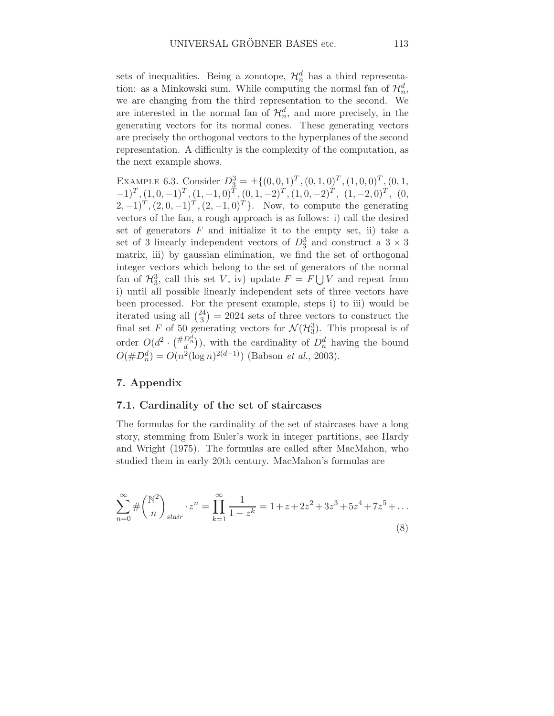sets of inequalities. Being a zonotope,  $\mathcal{H}_n^d$  has a third representation: as a Minkowski sum. While computing the normal fan of  $\mathcal{H}_n^d$ , we are changing from the third representation to the second. We are interested in the normal fan of  $\mathcal{H}_n^d$ , and more precisely, in the generating vectors for its normal cones. These generating vectors are precisely the orthogonal vectors to the hyperplanes of the second representation. A difficulty is the complexity of the computation, as the next example shows.

EXAMPLE 6.3. Consider  $D_3^3 = \pm \{ (0, 0, 1)^T, (0, 1, 0)^T, (1, 0, 0)^T, (0, 1,$  $(-1)^{T}$ ,  $(1, 0, -1)^{T}$ ,  $(1, -1, 0)^{T}$ ,  $(0, 1, -2)^{T}$ ,  $(1, 0, -2)^{T}$ ,  $(1, -2, 0)^{T}$ ,  $(0,$  $(2, -1)^T$ ,  $(2, 0, -1)^T$ ,  $(2, -1, 0)^T$ . Now, to compute the generating vectors of the fan, a rough approach is as follows: i) call the desired set of generators  $F$  and initialize it to the empty set, ii) take a set of 3 linearly independent vectors of  $D_3^3$  and construct a  $3 \times 3$ matrix, iii) by gaussian elimination, we find the set of orthogonal integer vectors which belong to the set of generators of the normal fan of  $\mathcal{H}_3^3$ , call this set V, iv) update  $F = F \bigcup V$  and repeat from i) until all possible linearly independent sets of three vectors have been processed. For the present example, steps i) to iii) would be iterated using all  $\binom{24}{3}$  $\binom{24}{3}$  = 2024 sets of three vectors to construct the final set F of 50 generating vectors for  $\mathcal{N}(\mathcal{H}_3^3)$ . This proposal is of order  $O(d^2 \cdot \binom{\#D_n^d}{d})$ , with the cardinality of  $D_n^d$  having the bound  $O(\#D_n^d) = O(n^2(\log n)^{2(d-1)})$  (Babson *et al.*, 2003).

# 7. Appendix

## 7.1. Cardinality of the set of staircases

The formulas for the cardinality of the set of staircases have a long story, stemming from Euler's work in integer partitions, see Hardy and Wright (1975). The formulas are called after MacMahon, who studied them in early 20th century. MacMahon's formulas are

$$
\sum_{n=0}^{\infty} \# \binom{\mathbb{N}^2}{n}_{\text{stair}} \cdot z^n = \prod_{k=1}^{\infty} \frac{1}{1 - z^k} = 1 + z + 2z^2 + 3z^3 + 5z^4 + 7z^5 + \dots
$$
\n(8)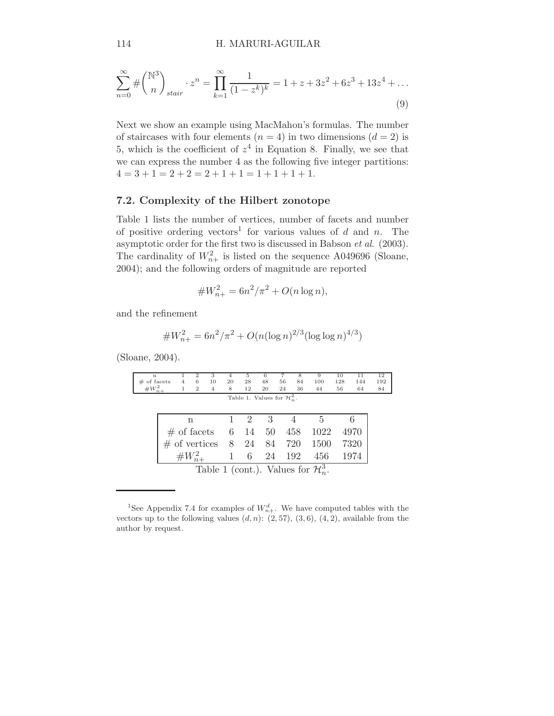$$
\sum_{n=0}^{\infty} \# \binom{\mathbb{N}^3}{n}_{stair} \cdot z^n = \prod_{k=1}^{\infty} \frac{1}{(1-z^k)^k} = 1 + z + 3z^2 + 6z^3 + 13z^4 + \dots
$$
\n(9)

Next we show an example using MacMahon's formulas. The number of staircases with four elements  $(n = 4)$  in two dimensions  $(d = 2)$  is 5, which is the coefficient of  $z^4$  in Equation 8. Finally, we see that we can express the number 4 as the following five integer partitions:  $4 = 3 + 1 = 2 + 2 = 2 + 1 + 1 = 1 + 1 + 1 + 1.$ 

# 7.2. Complexity of the Hilbert zonotope

Table 1 lists the number of vertices, number of facets and number of positive ordering vectors<sup>1</sup> for various values of d and n. The asymptotic order for the first two is discussed in Babson et al. (2003). The cardinality of  $W_{n+}^2$  is listed on the sequence A049696 (Sloane, 2004); and the following orders of magnitude are reported

$$
\#W_{n+}^2 = 6n^2/\pi^2 + O(n\log n),
$$

and the refinement

$$
\#W_{n+}^2 = 6n^2/\pi^2 + O(n(\log n)^{2/3}(\log \log n)^{4/3})
$$

(Sloane, 2004).

| n                                               |        |                | $\overline{2}$ | 3                           | 4              | 5                            | 6  |    | 8   | 9    | 10  | 11   | 12  |
|-------------------------------------------------|--------|----------------|----------------|-----------------------------|----------------|------------------------------|----|----|-----|------|-----|------|-----|
| $#$ of facets                                   |        | $\overline{4}$ | 6              | 10                          | 20             | 28                           | 48 | 56 | 84  | 100  | 128 | 144  | 192 |
| $\#W_{n+}^2$                                    |        |                | 2              | $\overline{4}$              | 8              | 12                           | 20 | 24 | 36  | 44   | 56  | 64   | 84  |
| Table 1. Values for $\mathcal{H}_n^2$ .         |        |                |                |                             |                |                              |    |    |     |      |     |      |     |
|                                                 |        |                |                |                             |                |                              |    |    |     |      |     |      |     |
|                                                 |        |                |                |                             |                |                              |    |    |     |      |     |      |     |
|                                                 | n      |                |                | $\mathcal{D}_{\mathcal{L}}$ | 3              |                              |    |    |     |      |     |      |     |
|                                                 |        | $#$ of facets  |                |                             |                | 6 14 50 458                  |    |    |     | 1022 |     | 4970 |     |
|                                                 |        |                |                |                             |                |                              |    |    |     |      |     |      |     |
|                                                 |        |                |                |                             |                | $\#$ of vertices 8 24 84 720 |    |    |     | 1500 |     | 7320 |     |
|                                                 |        |                |                |                             | $\overline{1}$ | 6                            | 24 |    | 192 | 456  |     | 1974 |     |
|                                                 | $#W^2$ |                |                |                             |                |                              |    |    |     |      |     |      |     |
| Table 1 (cont.). Values for $\mathcal{H}_n^3$ . |        |                |                |                             |                |                              |    |    |     |      |     |      |     |
|                                                 |        |                |                |                             |                |                              |    |    |     |      |     |      |     |

<sup>&</sup>lt;sup>1</sup>See Appendix 7.4 for examples of  $W_{n+}^d$ . We have computed tables with the vectors up to the following values  $(d, n)$ :  $(2, 57)$ ,  $(3, 6)$ ,  $(4, 2)$ , available from the author by request.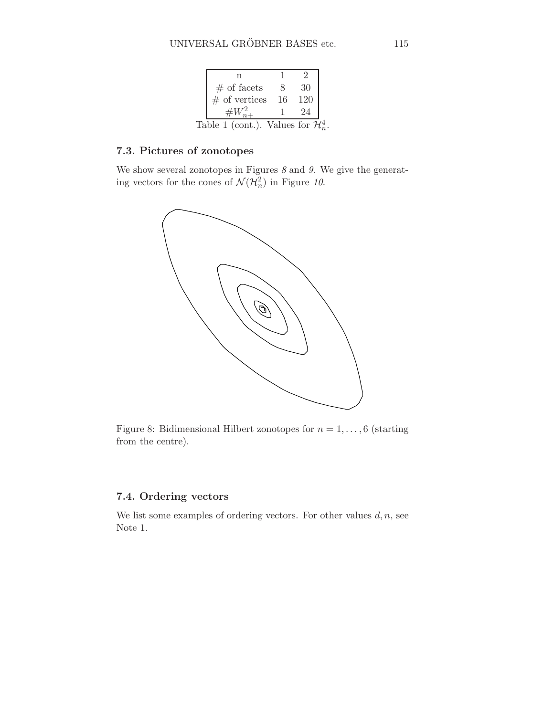| $#$ of facets                                   |    | 30  |  |
|-------------------------------------------------|----|-----|--|
| $#$ of vertices                                 | 16 | 120 |  |
|                                                 |    | 24  |  |
| Table 1 (cont.). Values for $\mathcal{H}_n^4$ . |    |     |  |

# 7.3. Pictures of zonotopes

We show several zonotopes in Figures  $\delta$  and  $\theta$ . We give the generating vectors for the cones of  $\mathcal{N}(\mathcal{H}_n^2)$  in Figure 10.



Figure 8: Bidimensional Hilbert zonotopes for  $n = 1, \ldots, 6$  (starting from the centre).

# 7.4. Ordering vectors

We list some examples of ordering vectors. For other values  $d, n$ , see Note 1.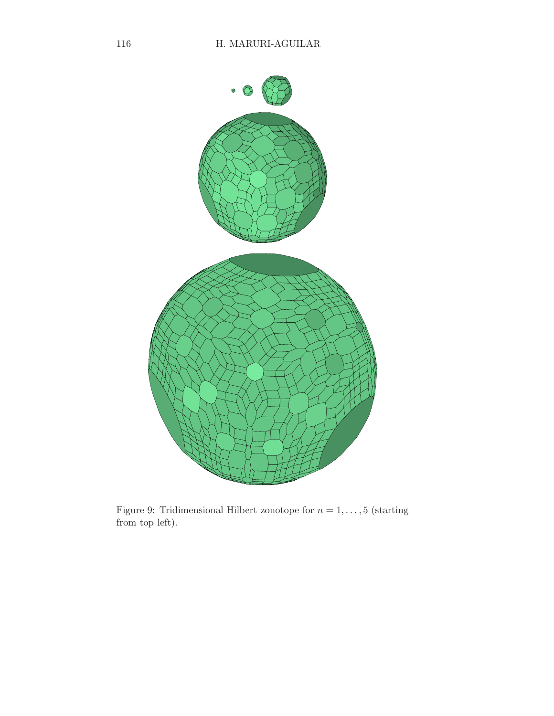

Figure 9: Tridimensional Hilbert zonotope for  $n = 1, ..., 5$  (starting from top left).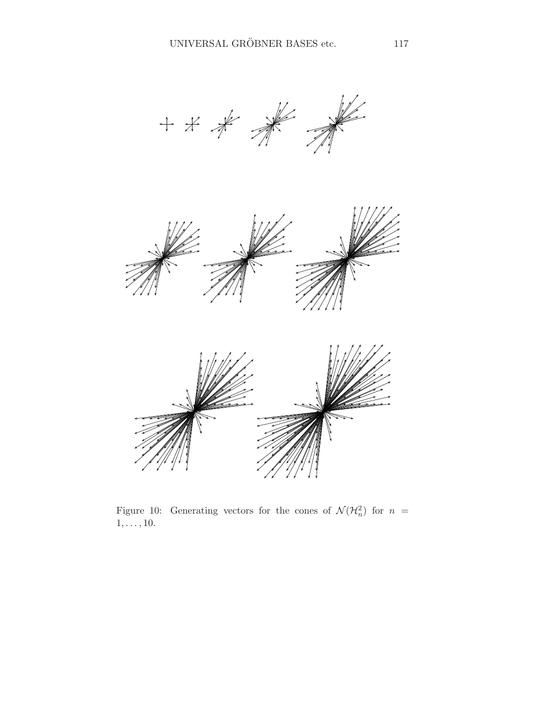



Figure 10: Generating vectors for the cones of  $\mathcal{N}(\mathcal{H}_n^2)$  for  $n =$  $1, \ldots, 10$ .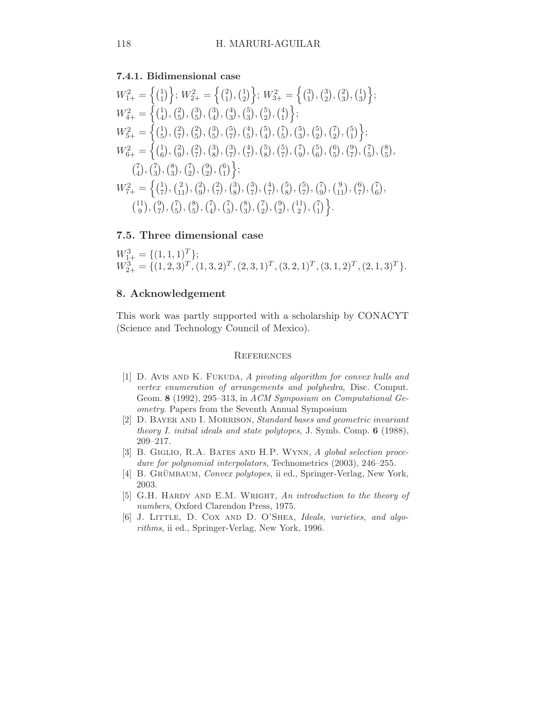# 7.4.1. Bidimensional case

W<sup>2</sup> 1+ = n 1 1 o ; W<sup>2</sup> 2+ = n 2 1 , 1 2 o ; W<sup>2</sup> 3+ = n 3 1 , 3 2 , 2 3 , 1 3 o ; W<sup>2</sup> 4+ = n 1 4 , 2 5 , 3 5 , 3 4 , 4 3 , 5 3 , 5 2 , 4 1 o ; W<sup>2</sup> 5+ = n 1 5 , 2 7 , 2 5 , 3 5 , 5 7 , 4 5 , 5 4 , 7 5 , 5 3 , 5 2 , 7 2 , 5 1 o ; W<sup>2</sup> 6+ = n 1 6 , 2 9 , 2 7 , 3 8 , 3 7 , 4 7 , 5 8 , 5 7 , 7 9 , 5 6 , 6 5 , 9 7 , 7 5 , 8 5 , 7 4 , 7 3 , 8 3 , 7 2 , 9 2 , 6 1 o ; W<sup>2</sup> 7+ = n 1 7 , 2 11 , 2 9 , 2 7 , 3 8 , 3 7 , 4 7 , 5 8 , 5 7 , 7 9 , 9 11 , 6 7 , 7 6 , 11 9 , 9 7 , 7 5 , 8 5 , 7 4 , 7 3 , 8 3 , 7 2 , 9 2 , 11 2 , 7 1 o .

# 7.5. Three dimensional case

$$
W_{1+}^3 = \{ (1,1,1)^T \};
$$
  
\n
$$
W_{2+}^3 = \{ (1,2,3)^T, (1,3,2)^T, (2,3,1)^T, (3,2,1)^T, (3,1,2)^T, (2,1,3)^T \}.
$$

# 8. Acknowledgement

This work was partly supported with a scholarship by CONACYT (Science and Technology Council of Mexico).

#### **REFERENCES**

- [1] D. AVIS AND K. FUKUDA, A pivoting algorithm for convex hulls and vertex enumeration of arrangements and polyhedra, Disc. Comput. Geom. 8 (1992), 295–313, in ACM Symposium on Computational Geometry. Papers from the Seventh Annual Symposium
- [2] D. Bayer and I. Morrison, Standard bases and geometric invariant theory I. initial ideals and state polytopes, J. Symb. Comp. 6 (1988), 209–217.
- [3] B. GIGLIO, R.A. BATES AND H.P. WYNN, A global selection procedure for polynomial interpolators, Technometrics (2003), 246–255.
- [4] B. GRÜMBAUM, Convex polytopes, ii ed., Springer-Verlag, New York, 2003.
- [5] G.H. HARDY AND E.M. WRIGHT, An introduction to the theory of numbers, Oxford Clarendon Press, 1975.
- [6] J. LITTLE, D. COX AND D. O'SHEA, Ideals, varieties, and algorithms, ii ed., Springer-Verlag, New York, 1996.